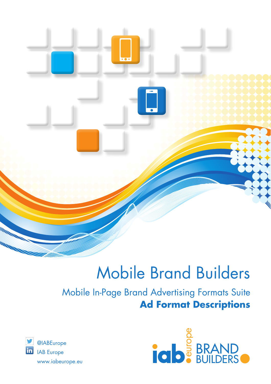

# Mobile Brand Builders

## Mobile In-Page Brand Advertising Formats Suite **Ad Format Descriptions**



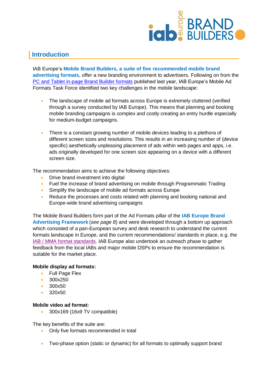

## **Introduction**

IAB Europe's **Mobile Brand Builders, a suite of five recommended mobile brand advertising formats**, offer a new branding environment to advertisers. Following on from the [PC and Tablet in-page Brand Builder formats](http://www.iabeurope.eu/digital-advertising/guidelines-standards/) published last year, IAB Europe's Mobile Ad Formats Task Force identified two key challenges in the mobile landscape:

- The landscape of mobile ad formats across Europe is extremely cluttered (verified through a survey conducted by IAB Europe). This means that planning and booking mobile branding campaigns is complex and costly creating an entry hurdle especially for medium-budget campaigns.
- There is a constant growing number of mobile devices leading to a plethora of different screen sizes and resolutions. This results in an increasing number of (device specific) aesthetically unpleasing placement of ads within web pages and apps, i.e. ads originally developed for one screen size appearing on a device with a different screen size.

The recommendation aims to achieve the following objectives:

- Drive brand investment into digital
- Fuel the increase of brand advertising on mobile through Programmatic Trading
- Simplify the landscape of mobile ad formats across Europe
- Reduce the processes and costs related with planning and booking national and Europe-wide brand advertising campaigns

The Mobile Brand Builders form part of the Ad Formats pillar of the **IAB Europe Brand Advertising Framework** (*see page 8*) and were developed through a bottom up approach which consisted of a pan-European survey and desk research to understand the current formats landscape in Europe, and the current recommendations/ standards in place, e.g. the [IAB / MMA format standards.](http://www.mmaglobal.com/mobile-creative-guidelines) IAB Europe also undertook an outreach phase to gather feedback from the local IABs and major mobile DSPs to ensure the recommendation is suitable for the market place.

#### **Mobile display ad formats:**

- Full Page Flex
- 300x250
- 300x50
- $\bullet$  320 $\times$ 50

#### **Mobile video ad format:**

300x169 (16x9 TV compatible)

The key benefits of the suite are:

- Only five formats recommended in total
- Two-phase option (static or dynamic) for all formats to optimally support brand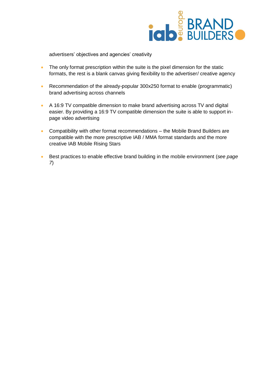

advertisers' objectives and agencies' creativity

- The only format prescription within the suite is the pixel dimension for the static formats, the rest is a blank canvas giving flexibility to the advertiser/ creative agency
- Recommendation of the already-popular 300x250 format to enable (programmatic) brand advertising across channels
- A 16:9 TV compatible dimension to make brand advertising across TV and digital easier. By providing a 16:9 TV compatible dimension the suite is able to support inpage video advertising
- Compatibility with other format recommendations the Mobile Brand Builders are compatible with the more prescriptive IAB / MMA format standards and the more creative IAB Mobile Rising Stars
- Best practices to enable effective brand building in the mobile environment (*see page 7*)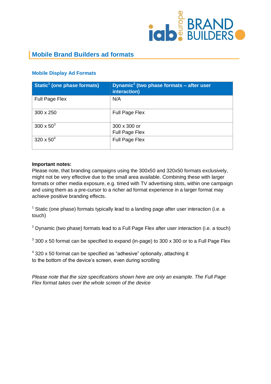

## **Mobile Brand Builders ad formats**

### **Mobile Display Ad Formats**

| Static <sup>1</sup> (one phase formats) | Dynamic <sup>2</sup> (two phase formats $-$ after user<br>interaction) |
|-----------------------------------------|------------------------------------------------------------------------|
| <b>Full Page Flex</b>                   | N/A                                                                    |
| 300 x 250                               | Full Page Flex                                                         |
| $300 \times 50^{3}$                     | 300 x 300 or<br>Full Page Flex                                         |
| $320 \times 50^{4}$                     | Full Page Flex                                                         |

#### **Important notes:**

Please note, that branding campaigns using the 300x50 and 320x50 formats exclusively, might not be very effective due to the small area available. Combining these with larger formats or other media exposure, e.g. timed with TV advertising slots, within one campaign and using them as a pre-cursor to a richer ad format experience in a larger format may achieve positive branding effects.

 $1$  Static (one phase) formats typically lead to a landing page after user interaction (i.e. a touch)

 $2$  Dynamic (two phase) formats lead to a Full Page Flex after user interaction (i.e. a touch)

 $^3$  300 x 50 format can be specified to expand (in-page) to 300 x 300 or to a Full Page Flex

 $4$  320 x 50 format can be specified as "adhesive" optionally, attaching it to the bottom of the device's screen, even during scrolling

*Please note that the size specifications shown here are only an example. The Full Page Flex format takes over the whole screen of the device*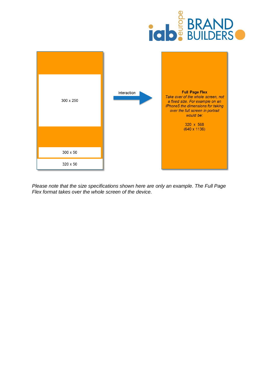



*Please note that the size specifications shown here are only an example. The Full Page Flex format takes over the whole screen of the device.*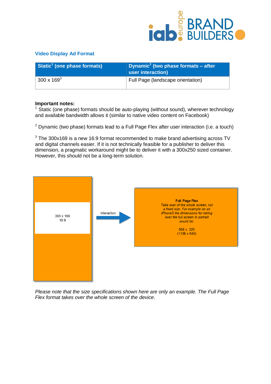

#### **Video Display Ad Format**

| Static <sup>1</sup> (one phase formats) | Dynamic <sup>2</sup> (two phase formats – after<br>user interaction) |
|-----------------------------------------|----------------------------------------------------------------------|
| 300 x 169 $3$                           | Full Page (landscape orientation)                                    |

#### **Important notes:**

 $1$  Static (one phase) formats should be auto-playing (without sound), wherever technology and available bandwidth allows it (similar to native video content on Facebook)

 $2$  Dynamic (two phase) formats lead to a Full Page Flex after user interaction (i.e. a touch)

 $3$  The 300x169 is a new 16:9 format recommended to make brand advertising across TV and digital channels easier. If it is not technically feasible for a publisher to deliver this dimension, a pragmatic workaround might be to deliver it with a 300x250 sized container. However, this should not be a long-term solution.



*Please note that the size specifications shown here are only an example. The Full Page Flex format takes over the whole screen of the device*.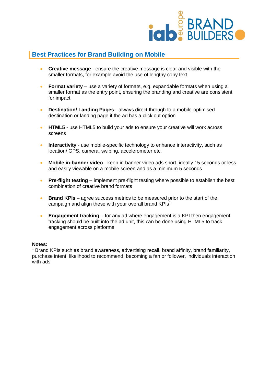

## **Best Practices for Brand Building on Mobile**

- **Creative message**  ensure the creative message is clear and visible with the smaller formats, for example avoid the use of lengthy copy text
- **Format variety** use a variety of formats, e.g. expandable formats when using a smaller format as the entry point, ensuring the branding and creative are consistent for impact
- **Destination/ Landing Pages** always direct through to a mobile-optimised destination or landing page if the ad has a click out option
- **HTML5** use HTML5 to build your ads to ensure your creative will work across screens
- **Interactivity** use mobile-specific technology to enhance interactivity, such as location/ GPS, camera, swiping, accelerometer etc.
- **Mobile in-banner video** keep in-banner video ads short, ideally 15 seconds or less and easily viewable on a mobile screen and as a minimum 5 seconds
- **Pre-flight testing** implement pre-flight testing where possible to establish the best combination of creative brand formats
- **Brand KPIs** agree success metrics to be measured prior to the start of the campaign and align these with your overall brand  $KPIs<sup>1</sup>$
- **Engagement tracking** for any ad where engagement is a KPI then engagement tracking should be built into the ad unit, this can be done using HTML5 to track engagement across platforms

#### **Notes:**

 $1$  Brand KPIs such as brand awareness, advertising recall, brand affinity, brand familiarity, purchase intent, likelihood to recommend, becoming a fan or follower, individuals interaction with ads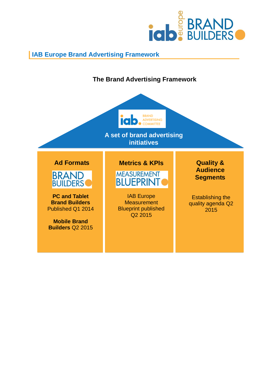

## **IAB Europe Brand Advertising Framework**

## **The Brand Advertising Framework**



**A set of brand advertising initiatives**



**PC and Tablet Brand Builders** Published Q1 2014

**Mobile Brand Builders** Q2 2015

## **Ad Formats Metrics & KPIs Quality &**



IAB Europe **Measurement** Blueprint published Q2 2015

**Audience Segments**

Establishing the quality agenda Q2 2015